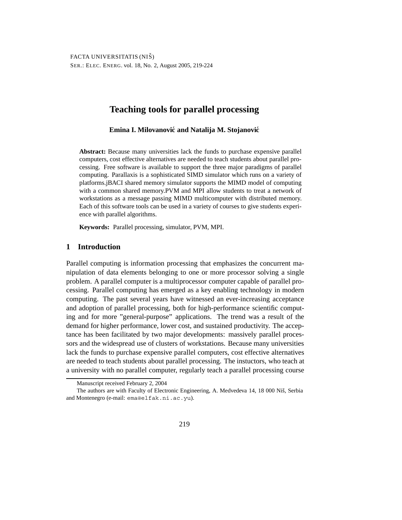# **Teaching tools for parallel processing**

## **Emina I. Milovanović and Natalija M. Stojanović**

**Abstract:** Because many universities lack the funds to purchase expensive parallel computers, cost effective alternatives are needed to teach students about parallel processing. Free software is available to support the three major paradigms of parallel computing. Parallaxis is a sophisticated SIMD simulator which runs on a variety of platforms.jBACI shared memory simulator supports the MIMD model of computing with a common shared memory.PVM and MPI allow students to treat a network of workstations as a message passing MIMD multicomputer with distributed memory. Each of this software tools can be used in a variety of courses to give students experience with parallel algorithms.

**Keywords:** Parallel processing, simulator, PVM, MPI.

## **1 Introduction**

Parallel computing is information processing that emphasizes the concurrent manipulation of data elements belonging to one or more processor solving a single problem. A parallel computer is a multiprocessor computer capable of parallel processing. Parallel computing has emerged as a key enabling technology in modern computing. The past several years have witnessed an ever-increasing acceptance and adoption of parallel processing, both for high-performance scientific computing and for more "general-purpose" applications. The trend was a result of the demand for higher performance, lower cost, and sustained productivity. The acceptance has been facilitated by two major developments: massively parallel processors and the widespread use of clusters of workstations. Because many universities lack the funds to purchase expensive parallel computers, cost effective alternatives are needed to teach students about parallel processing. The instuctors, who teach at a university with no parallel computer, regularly teach a parallel processing course

Manuscript received February 2, 2004

The authors are with Faculty of Electronic Engineering, A. Medvedeva 14, 18 000 Niš, Serbia and Montenegro (e-mail: ema@elfak.ni.ac.yu).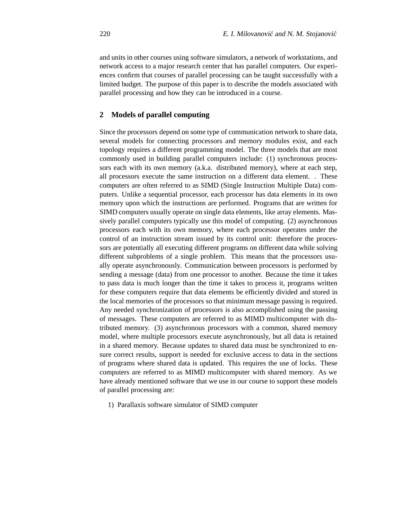and units in other courses using software simulators, a network of workstations, and network access to a major research center that has parallel computers. Our experiences confirm that courses of parallel processing can be taught successfully with a limited budget. The purpose of this paper is to describe the models associated with parallel processing and how they can be introduced in a course.

#### **2 Models of parallel computing**

Since the processors depend on some type of communication network to share data, several models for connecting processors and memory modules exist, and each topology requires a different programming model. The three models that are most commonly used in building parallel computers include: (1) synchronous processors each with its own memory (a.k.a. distributed memory), where at each step, all processors execute the same instruction on a different data element. . These computers are often referred to as SIMD (Single Instruction Multiple Data) computers. Unlike a sequential processor, each processor has data elements in its own memory upon which the instructions are performed. Programs that are written for SIMD computers usually operate on single data elements, like array elements. Massively parallel computers typically use this model of computing. (2) asynchronous processors each with its own memory, where each processor operates under the control of an instruction stream issued by its control unit: therefore the processors are potentially all executing different programs on different data while solving different subproblems of a single problem. This means that the processors usually operate asynchronously. Communication between processors is performed by sending a message (data) from one processor to another. Because the time it takes to pass data is much longer than the time it takes to process it, programs written for these computers require that data elements be efficiently divided and stored in the local memories of the processors so that minimum message passing is required. Any needed synchronization of processors is also accomplished using the passing of messages. These computers are referred to as MIMD multicomputer with distributed memory. (3) asynchronous processors with a common, shared memory model, where multiple processors execute asynchronously, but all data is retained in a shared memory. Because updates to shared data must be synchronized to ensure correct results, support is needed for exclusive access to data in the sections of programs where shared data is updated. This requires the use of locks. These computers are referred to as MIMD multicomputer with shared memory. As we have already mentioned software that we use in our course to support these models of parallel processing are:

1) Parallaxis software simulator of SIMD computer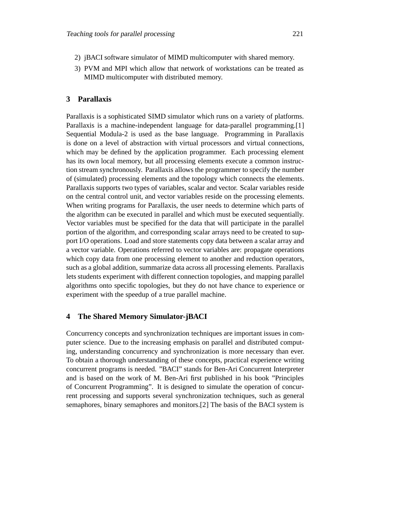- 2) jBACI software simulator of MIMD multicomputer with shared memory.
- 3) PVM and MPI which allow that network of workstations can be treated as MIMD multicomputer with distributed memory.

# **3 Parallaxis**

Parallaxis is a sophisticated SIMD simulator which runs on a variety of platforms. Parallaxis is a machine-independent language for data-parallel programming.[1] Sequential Modula-2 is used as the base language. Programming in Parallaxis is done on a level of abstraction with virtual processors and virtual connections, which may be defined by the application programmer. Each processing element has its own local memory, but all processing elements execute a common instruction stream synchronously. Parallaxis allows the programmer to specify the number of (simulated) processing elements and the topology which connects the elements. Parallaxis supports two types of variables, scalar and vector. Scalar variables reside on the central control unit, and vector variables reside on the processing elements. When writing programs for Parallaxis, the user needs to determine which parts of the algorithm can be executed in parallel and which must be executed sequentially. Vector variables must be specified for the data that will participate in the parallel portion of the algorithm, and corresponding scalar arrays need to be created to support I/O operations. Load and store statements copy data between a scalar array and a vector variable. Operations referred to vector variables are: propagate operations which copy data from one processing element to another and reduction operators, such as a global addition, summarize data across all processing elements. Parallaxis lets students experiment with different connection topologies, and mapping parallel algorithms onto specific topologies, but they do not have chance to experience or experiment with the speedup of a true parallel machine.

### **4 The Shared Memory Simulator-jBACI**

Concurrency concepts and synchronization techniques are important issues in computer science. Due to the increasing emphasis on parallel and distributed computing, understanding concurrency and synchronization is more necessary than ever. To obtain a thorough understanding of these concepts, practical experience writing concurrent programs is needed. "BACI" stands for Ben-Ari Concurrent Interpreter and is based on the work of M. Ben-Ari first published in his book "Principles of Concurrent Programming". It is designed to simulate the operation of concurrent processing and supports several synchronization techniques, such as general semaphores, binary semaphores and monitors.[2] The basis of the BACI system is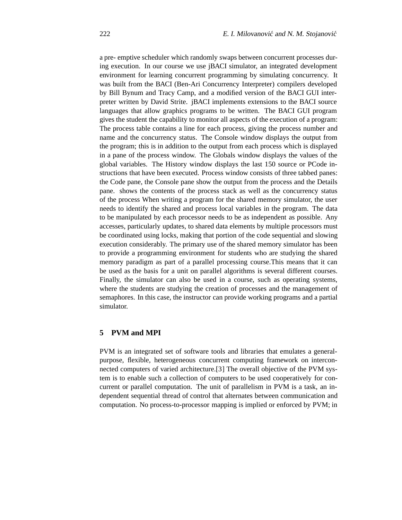a pre- emptive scheduler which randomly swaps between concurrent processes during execution. In our course we use jBACI simulator, an integrated development environment for learning concurrent programming by simulating concurrency. It was built from the BACI (Ben-Ari Concurrency Interpreter) compilers developed by Bill Bynum and Tracy Camp, and a modified version of the BACI GUI interpreter written by David Strite. jBACI implements extensions to the BACI source languages that allow graphics programs to be written. The BACI GUI program gives the student the capability to monitor all aspects of the execution of a program: The process table contains a line for each process, giving the process number and name and the concurrency status. The Console window displays the output from the program; this is in addition to the output from each process which is displayed in a pane of the process window. The Globals window displays the values of the global variables. The History window displays the last 150 source or PCode instructions that have been executed. Process window consists of three tabbed panes: the Code pane, the Console pane show the output from the process and the Details pane. shows the contents of the process stack as well as the concurrency status of the process When writing a program for the shared memory simulator, the user needs to identify the shared and process local variables in the program. The data to be manipulated by each processor needs to be as independent as possible. Any accesses, particularly updates, to shared data elements by multiple processors must be coordinated using locks, making that portion of the code sequential and slowing execution considerably. The primary use of the shared memory simulator has been to provide a programming environment for students who are studying the shared memory paradigm as part of a parallel processing course.This means that it can be used as the basis for a unit on parallel algorithms is several different courses. Finally, the simulator can also be used in a course, such as operating systems, where the students are studying the creation of processes and the management of semaphores. In this case, the instructor can provide working programs and a partial simulator.

# **5 PVM and MPI**

PVM is an integrated set of software tools and libraries that emulates a generalpurpose, flexible, heterogeneous concurrent computing framework on interconnected computers of varied architecture.[3] The overall objective of the PVM system is to enable such a collection of computers to be used cooperatively for concurrent or parallel computation. The unit of parallelism in PVM is a task, an independent sequential thread of control that alternates between communication and computation. No process-to-processor mapping is implied or enforced by PVM; in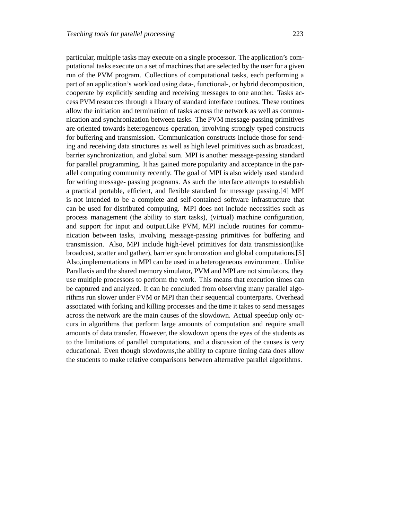particular, multiple tasks may execute on a single processor. The application's computational tasks execute on a set of machines that are selected by the user for a given run of the PVM program. Collections of computational tasks, each performing a part of an application's workload using data-, functional-, or hybrid decomposition, cooperate by explicitly sending and receiving messages to one another. Tasks access PVM resources through a library of standard interface routines. These routines allow the initiation and termination of tasks across the network as well as communication and synchronization between tasks. The PVM message-passing primitives are oriented towards heterogeneous operation, involving strongly typed constructs for buffering and transmission. Communication constructs include those for sending and receiving data structures as well as high level primitives such as broadcast, barrier synchronization, and global sum. MPI is another message-passing standard for parallel programming. It has gained more popularity and acceptance in the parallel computing community recently. The goal of MPI is also widely used standard for writing message- passing programs. As such the interface attempts to establish a practical portable, efficient, and flexible standard for message passing.[4] MPI is not intended to be a complete and self-contained software infrastructure that can be used for distributed computing. MPI does not include necessities such as process management (the ability to start tasks), (virtual) machine configuration, and support for input and output.Like PVM, MPI include routines for communication between tasks, involving message-passing primitives for buffering and transmission. Also, MPI include high-level primitives for data transmission(like broadcast, scatter and gather), barrier synchronozation and global computations.[5] Also,implementations in MPI can be used in a heterogeneous environment. Unlike Parallaxis and the shared memory simulator, PVM and MPI are not simulators, they use multiple processors to perform the work. This means that execution times can be captured and analyzed. It can be concluded from observing many parallel algorithms run slower under PVM or MPI than their sequential counterparts. Overhead associated with forking and killing processes and the time it takes to send messages across the network are the main causes of the slowdown. Actual speedup only occurs in algorithms that perform large amounts of computation and require small amounts of data transfer. However, the slowdown opens the eyes of the students as to the limitations of parallel computations, and a discussion of the causes is very educational. Even though slowdowns,the ability to capture timing data does allow the students to make relative comparisons between alternative parallel algorithms.